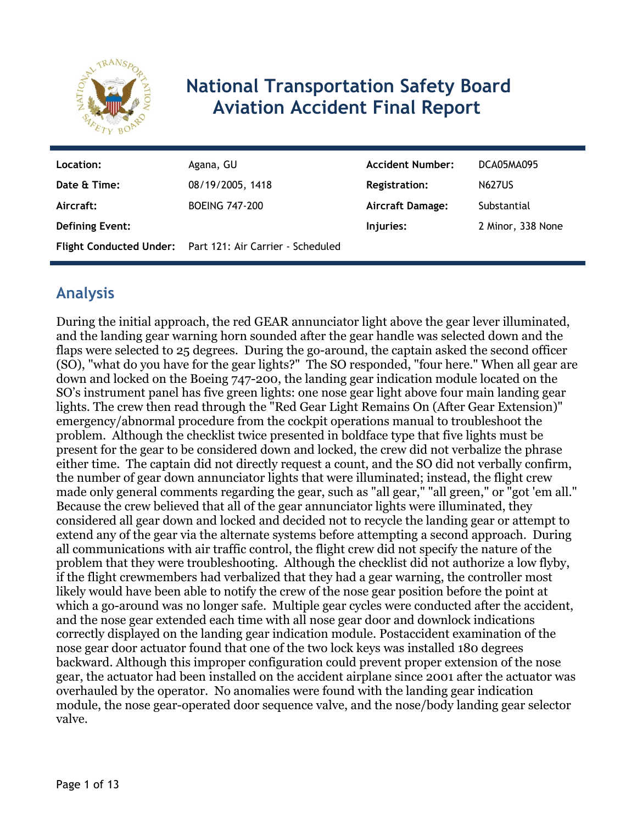

# **National Transportation Safety Board Aviation Accident Final Report**

| Location:              | Agana, GU                                                 | <b>Accident Number:</b> | DCA05MA095        |
|------------------------|-----------------------------------------------------------|-------------------------|-------------------|
| Date & Time:           | 08/19/2005, 1418                                          | <b>Registration:</b>    | <b>N627US</b>     |
| Aircraft:              | <b>BOEING 747-200</b>                                     | <b>Aircraft Damage:</b> | Substantial       |
| <b>Defining Event:</b> |                                                           | Injuries:               | 2 Minor, 338 None |
|                        | Flight Conducted Under: Part 121: Air Carrier - Scheduled |                         |                   |

## **Analysis**

During the initial approach, the red GEAR annunciator light above the gear lever illuminated, and the landing gear warning horn sounded after the gear handle was selected down and the flaps were selected to 25 degrees. During the go-around, the captain asked the second officer (SO), "what do you have for the gear lights?" The SO responded, "four here." When all gear are down and locked on the Boeing 747-200, the landing gear indication module located on the SO's instrument panel has five green lights: one nose gear light above four main landing gear lights. The crew then read through the "Red Gear Light Remains On (After Gear Extension)" emergency/abnormal procedure from the cockpit operations manual to troubleshoot the problem. Although the checklist twice presented in boldface type that five lights must be present for the gear to be considered down and locked, the crew did not verbalize the phrase either time. The captain did not directly request a count, and the SO did not verbally confirm, the number of gear down annunciator lights that were illuminated; instead, the flight crew made only general comments regarding the gear, such as "all gear," "all green," or "got 'em all." Because the crew believed that all of the gear annunciator lights were illuminated, they considered all gear down and locked and decided not to recycle the landing gear or attempt to extend any of the gear via the alternate systems before attempting a second approach. During all communications with air traffic control, the flight crew did not specify the nature of the problem that they were troubleshooting. Although the checklist did not authorize a low flyby, if the flight crewmembers had verbalized that they had a gear warning, the controller most likely would have been able to notify the crew of the nose gear position before the point at which a go-around was no longer safe. Multiple gear cycles were conducted after the accident, and the nose gear extended each time with all nose gear door and downlock indications correctly displayed on the landing gear indication module. Postaccident examination of the nose gear door actuator found that one of the two lock keys was installed 180 degrees backward. Although this improper configuration could prevent proper extension of the nose gear, the actuator had been installed on the accident airplane since 2001 after the actuator was overhauled by the operator. No anomalies were found with the landing gear indication module, the nose gear-operated door sequence valve, and the nose/body landing gear selector valve.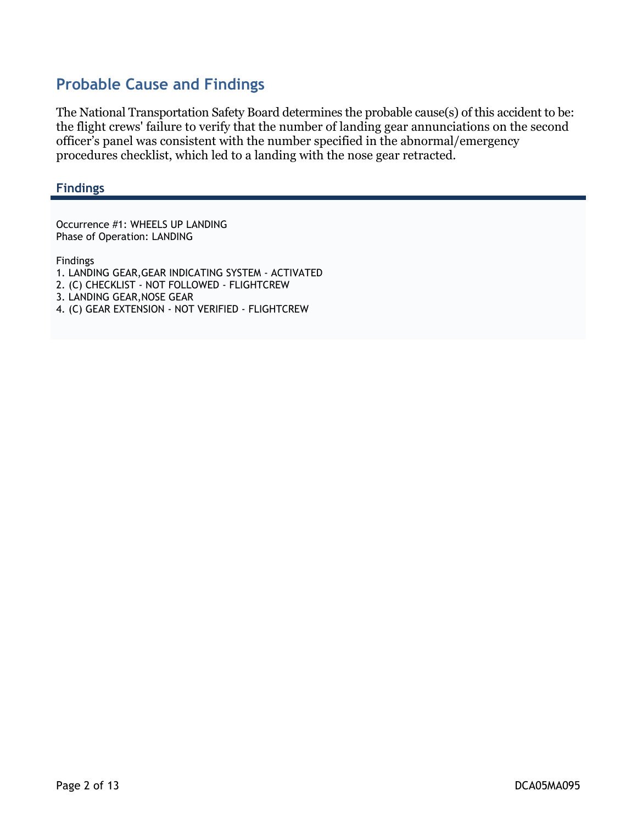## **Probable Cause and Findings**

The National Transportation Safety Board determines the probable cause(s) of this accident to be: the flight crews' failure to verify that the number of landing gear annunciations on the second officer's panel was consistent with the number specified in the abnormal/emergency procedures checklist, which led to a landing with the nose gear retracted.

### **Findings**

Occurrence #1: WHEELS UP LANDING Phase of Operation: LANDING

Findings

- 1. LANDING GEAR,GEAR INDICATING SYSTEM ACTIVATED
- 2. (C) CHECKLIST NOT FOLLOWED FLIGHTCREW
- 3. LANDING GEAR,NOSE GEAR
- 4. (C) GEAR EXTENSION NOT VERIFIED FLIGHTCREW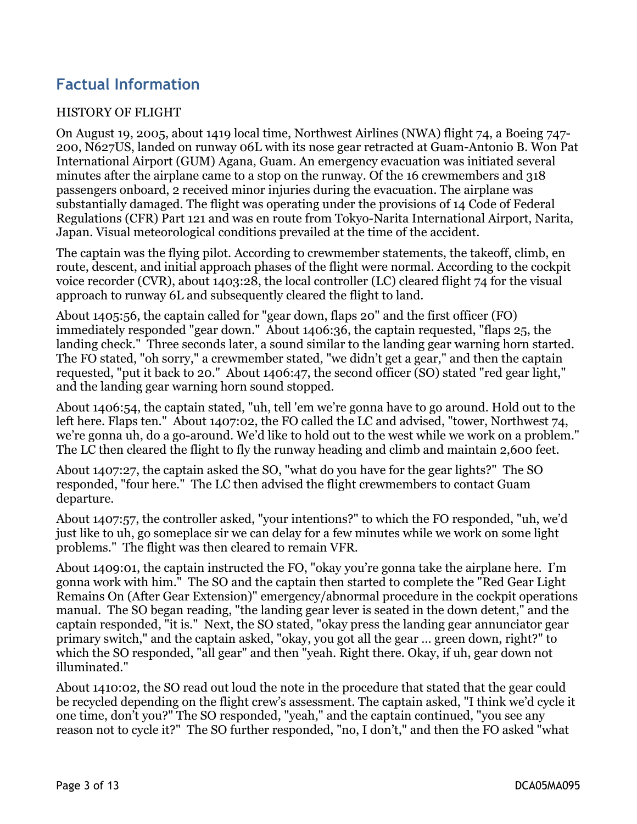## **Factual Information**

### HISTORY OF FLIGHT

On August 19, 2005, about 1419 local time, Northwest Airlines (NWA) flight 74, a Boeing 747- 200, N627US, landed on runway 06L with its nose gear retracted at Guam-Antonio B. Won Pat International Airport (GUM) Agana, Guam. An emergency evacuation was initiated several minutes after the airplane came to a stop on the runway. Of the 16 crewmembers and 318 passengers onboard, 2 received minor injuries during the evacuation. The airplane was substantially damaged. The flight was operating under the provisions of 14 Code of Federal Regulations (CFR) Part 121 and was en route from Tokyo-Narita International Airport, Narita, Japan. Visual meteorological conditions prevailed at the time of the accident.

The captain was the flying pilot. According to crewmember statements, the takeoff, climb, en route, descent, and initial approach phases of the flight were normal. According to the cockpit voice recorder (CVR), about 1403:28, the local controller (LC) cleared flight 74 for the visual approach to runway 6L and subsequently cleared the flight to land.

About 1405:56, the captain called for "gear down, flaps 20" and the first officer (FO) immediately responded "gear down." About 1406:36, the captain requested, "flaps 25, the landing check." Three seconds later, a sound similar to the landing gear warning horn started. The FO stated, "oh sorry," a crewmember stated, "we didn't get a gear," and then the captain requested, "put it back to 20." About 1406:47, the second officer (SO) stated "red gear light," and the landing gear warning horn sound stopped.

About 1406:54, the captain stated, "uh, tell 'em we're gonna have to go around. Hold out to the left here. Flaps ten." About 1407:02, the FO called the LC and advised, "tower, Northwest 74, we're gonna uh, do a go-around. We'd like to hold out to the west while we work on a problem." The LC then cleared the flight to fly the runway heading and climb and maintain 2,600 feet.

About 1407:27, the captain asked the SO, "what do you have for the gear lights?" The SO responded, "four here." The LC then advised the flight crewmembers to contact Guam departure.

About 1407:57, the controller asked, "your intentions?" to which the FO responded, "uh, we'd just like to uh, go someplace sir we can delay for a few minutes while we work on some light problems." The flight was then cleared to remain VFR.

About 1409:01, the captain instructed the FO, "okay you're gonna take the airplane here. I'm gonna work with him." The SO and the captain then started to complete the "Red Gear Light Remains On (After Gear Extension)" emergency/abnormal procedure in the cockpit operations manual. The SO began reading, "the landing gear lever is seated in the down detent," and the captain responded, "it is." Next, the SO stated, "okay press the landing gear annunciator gear primary switch," and the captain asked, "okay, you got all the gear … green down, right?" to which the SO responded, "all gear" and then "yeah. Right there. Okay, if uh, gear down not illuminated."

About 1410:02, the SO read out loud the note in the procedure that stated that the gear could be recycled depending on the flight crew's assessment. The captain asked, "I think we'd cycle it one time, don't you?" The SO responded, "yeah," and the captain continued, "you see any reason not to cycle it?" The SO further responded, "no, I don't," and then the FO asked "what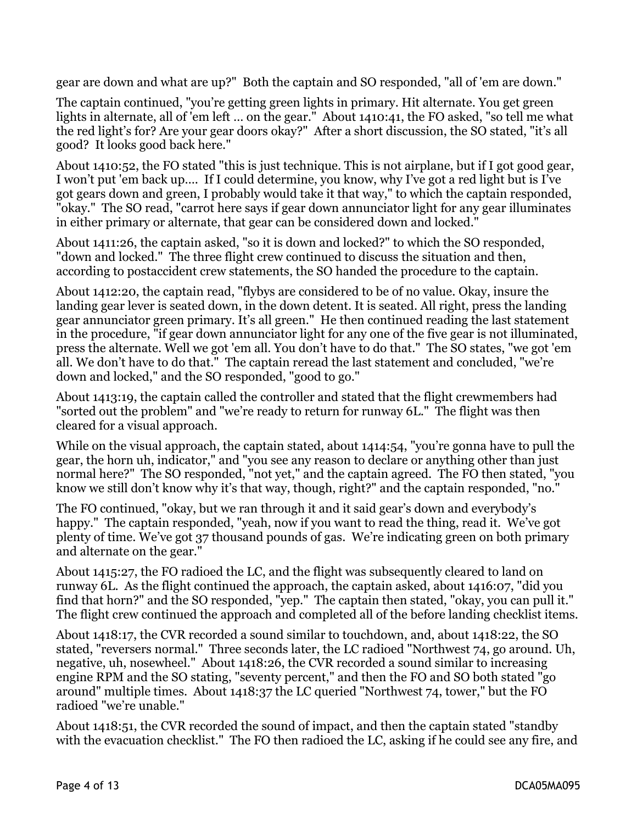gear are down and what are up?" Both the captain and SO responded, "all of 'em are down."

The captain continued, "you're getting green lights in primary. Hit alternate. You get green lights in alternate, all of 'em left … on the gear." About 1410:41, the FO asked, "so tell me what the red light's for? Are your gear doors okay?" After a short discussion, the SO stated, "it's all good? It looks good back here."

About 1410:52, the FO stated "this is just technique. This is not airplane, but if I got good gear, I won't put 'em back up…. If I could determine, you know, why I've got a red light but is I've got gears down and green, I probably would take it that way," to which the captain responded, "okay." The SO read, "carrot here says if gear down annunciator light for any gear illuminates in either primary or alternate, that gear can be considered down and locked."

About 1411:26, the captain asked, "so it is down and locked?" to which the SO responded, "down and locked." The three flight crew continued to discuss the situation and then, according to postaccident crew statements, the SO handed the procedure to the captain.

About 1412:20, the captain read, "flybys are considered to be of no value. Okay, insure the landing gear lever is seated down, in the down detent. It is seated. All right, press the landing gear annunciator green primary. It's all green." He then continued reading the last statement in the procedure, "if gear down annunciator light for any one of the five gear is not illuminated, press the alternate. Well we got 'em all. You don't have to do that." The SO states, "we got 'em all. We don't have to do that." The captain reread the last statement and concluded, "we're down and locked," and the SO responded, "good to go."

About 1413:19, the captain called the controller and stated that the flight crewmembers had "sorted out the problem" and "we're ready to return for runway 6L." The flight was then cleared for a visual approach.

While on the visual approach, the captain stated, about 1414:54, "you're gonna have to pull the gear, the horn uh, indicator," and "you see any reason to declare or anything other than just normal here?" The SO responded, "not yet," and the captain agreed. The FO then stated, "you know we still don't know why it's that way, though, right?" and the captain responded, "no."

The FO continued, "okay, but we ran through it and it said gear's down and everybody's happy." The captain responded, "yeah, now if you want to read the thing, read it. We've got plenty of time. We've got 37 thousand pounds of gas. We're indicating green on both primary and alternate on the gear."

About 1415:27, the FO radioed the LC, and the flight was subsequently cleared to land on runway 6L. As the flight continued the approach, the captain asked, about 1416:07, "did you find that horn?" and the SO responded, "yep." The captain then stated, "okay, you can pull it." The flight crew continued the approach and completed all of the before landing checklist items.

About 1418:17, the CVR recorded a sound similar to touchdown, and, about 1418:22, the SO stated, "reversers normal." Three seconds later, the LC radioed "Northwest 74, go around. Uh, negative, uh, nosewheel." About 1418:26, the CVR recorded a sound similar to increasing engine RPM and the SO stating, "seventy percent," and then the FO and SO both stated "go around" multiple times. About 1418:37 the LC queried "Northwest 74, tower," but the FO radioed "we're unable."

About 1418:51, the CVR recorded the sound of impact, and then the captain stated "standby with the evacuation checklist." The FO then radioed the LC, asking if he could see any fire, and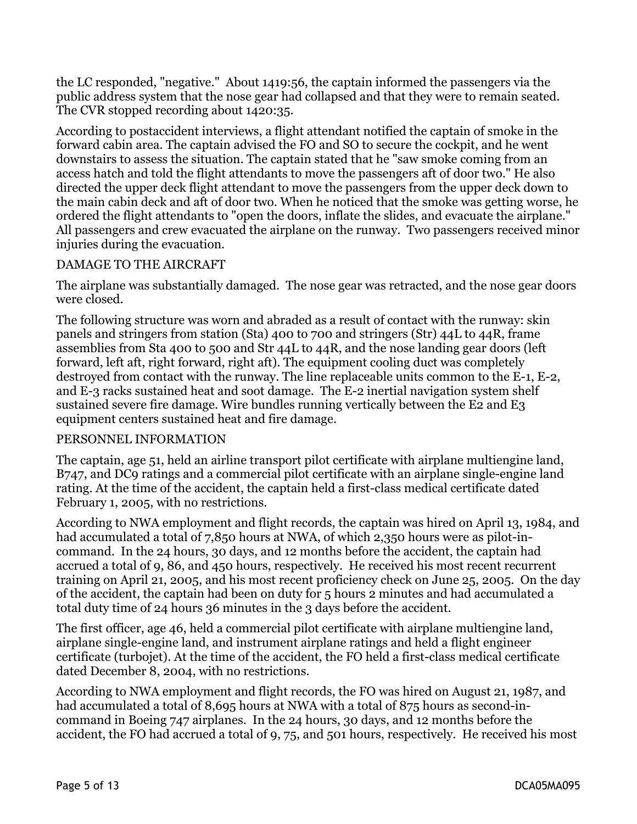the LC responded, "negative." About 1419:56, the captain informed the passengers via the public address system that the nose gear had collapsed and that they were to remain seated. The CVR stopped recording about 1420:35.

According to postaccident interviews, a flight attendant notified the captain of smoke in the forward cabin area. The captain advised the FO and SO to secure the cockpit, and he went downstairs to assess the situation. The captain stated that he "saw smoke coming from an access hatch and told the flight attendants to move the passengers aft of door two." He also directed the upper deck flight attendant to move the passengers from the upper deck down to the main cabin deck and aft of door two. When he noticed that the smoke was getting worse, he ordered the flight attendants to "open the doors, inflate the slides, and evacuate the airplane." All passengers and crew evacuated the airplane on the runway. Two passengers received minor injuries during the evacuation.

### DAMAGE TO THE AIRCRAFT

The airplane was substantially damaged. The nose gear was retracted, and the nose gear doors were closed.

The following structure was worn and abraded as a result of contact with the runway: skin panels and stringers from station (Sta) 400 to 700 and stringers (Str) 44L to 44R, frame assemblies from Sta 400 to 500 and Str 44L to 44R, and the nose landing gear doors (left forward, left aft, right forward, right aft). The equipment cooling duct was completely destroyed from contact with the runway. The line replaceable units common to the E-1, E-2, and E-3 racks sustained heat and soot damage. The E-2 inertial navigation system shelf sustained severe fire damage. Wire bundles running vertically between the E2 and E3 equipment centers sustained heat and fire damage.

### PERSONNEL INFORMATION

The captain, age 51, held an airline transport pilot certificate with airplane multiengine land, B747, and DC9 ratings and a commercial pilot certificate with an airplane single-engine land rating. At the time of the accident, the captain held a first-class medical certificate dated February 1, 2005, with no restrictions.

According to NWA employment and flight records, the captain was hired on April 13, 1984, and had accumulated a total of 7,850 hours at NWA, of which 2,350 hours were as pilot-incommand. In the 24 hours, 30 days, and 12 months before the accident, the captain had accrued a total of 9, 86, and 450 hours, respectively. He received his most recent recurrent training on April 21, 2005, and his most recent proficiency check on June 25, 2005. On the day of the accident, the captain had been on duty for 5 hours 2 minutes and had accumulated a total duty time of 24 hours 36 minutes in the 3 days before the accident.

The first officer, age 46, held a commercial pilot certificate with airplane multiengine land, airplane single-engine land, and instrument airplane ratings and held a flight engineer certificate (turbojet). At the time of the accident, the FO held a first-class medical certificate dated December 8, 2004, with no restrictions.

According to NWA employment and flight records, the FO was hired on August 21, 1987, and had accumulated a total of 8,695 hours at NWA with a total of 875 hours as second-incommand in Boeing 747 airplanes. In the 24 hours, 30 days, and 12 months before the accident, the FO had accrued a total of 9, 75, and 501 hours, respectively. He received his most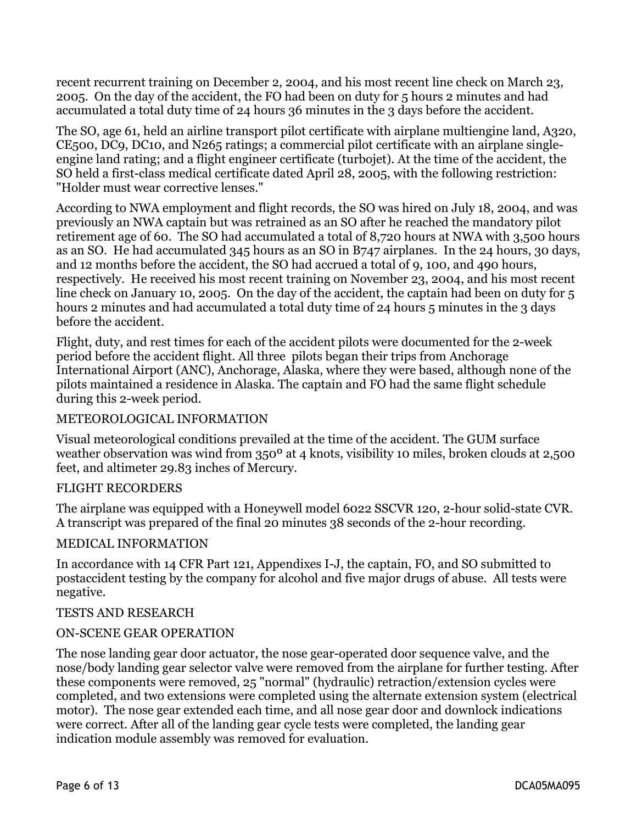recent recurrent training on December 2, 2004, and his most recent line check on March 23, 2005. On the day of the accident, the FO had been on duty for 5 hours 2 minutes and had accumulated a total duty time of 24 hours 36 minutes in the 3 days before the accident.

The SO, age 61, held an airline transport pilot certificate with airplane multiengine land, A320, CE500, DC9, DC10, and N265 ratings; a commercial pilot certificate with an airplane singleengine land rating; and a flight engineer certificate (turbojet). At the time of the accident, the SO held a first-class medical certificate dated April 28, 2005, with the following restriction: "Holder must wear corrective lenses."

According to NWA employment and flight records, the SO was hired on July 18, 2004, and was previously an NWA captain but was retrained as an SO after he reached the mandatory pilot retirement age of 60. The SO had accumulated a total of 8,720 hours at NWA with 3,500 hours as an SO. He had accumulated 345 hours as an SO in B747 airplanes. In the 24 hours, 30 days, and 12 months before the accident, the SO had accrued a total of 9, 100, and 490 hours, respectively. He received his most recent training on November 23, 2004, and his most recent line check on January 10, 2005. On the day of the accident, the captain had been on duty for 5 hours 2 minutes and had accumulated a total duty time of 24 hours 5 minutes in the 3 days before the accident.

Flight, duty, and rest times for each of the accident pilots were documented for the 2-week period before the accident flight. All three pilots began their trips from Anchorage International Airport (ANC), Anchorage, Alaska, where they were based, although none of the pilots maintained a residence in Alaska. The captain and FO had the same flight schedule during this 2-week period.

#### METEOROLOGICAL INFORMATION

Visual meteorological conditions prevailed at the time of the accident. The GUM surface weather observation was wind from 350º at 4 knots, visibility 10 miles, broken clouds at 2,500 feet, and altimeter 29.83 inches of Mercury.

#### FLIGHT RECORDERS

The airplane was equipped with a Honeywell model 6022 SSCVR 120, 2-hour solid-state CVR. A transcript was prepared of the final 20 minutes 38 seconds of the 2-hour recording.

#### MEDICAL INFORMATION

In accordance with 14 CFR Part 121, Appendixes I-J, the captain, FO, and SO submitted to postaccident testing by the company for alcohol and five major drugs of abuse. All tests were negative.

#### TESTS AND RESEARCH

#### ON-SCENE GEAR OPERATION

The nose landing gear door actuator, the nose gear-operated door sequence valve, and the nose/body landing gear selector valve were removed from the airplane for further testing. After these components were removed, 25 "normal" (hydraulic) retraction/extension cycles were completed, and two extensions were completed using the alternate extension system (electrical motor). The nose gear extended each time, and all nose gear door and downlock indications were correct. After all of the landing gear cycle tests were completed, the landing gear indication module assembly was removed for evaluation.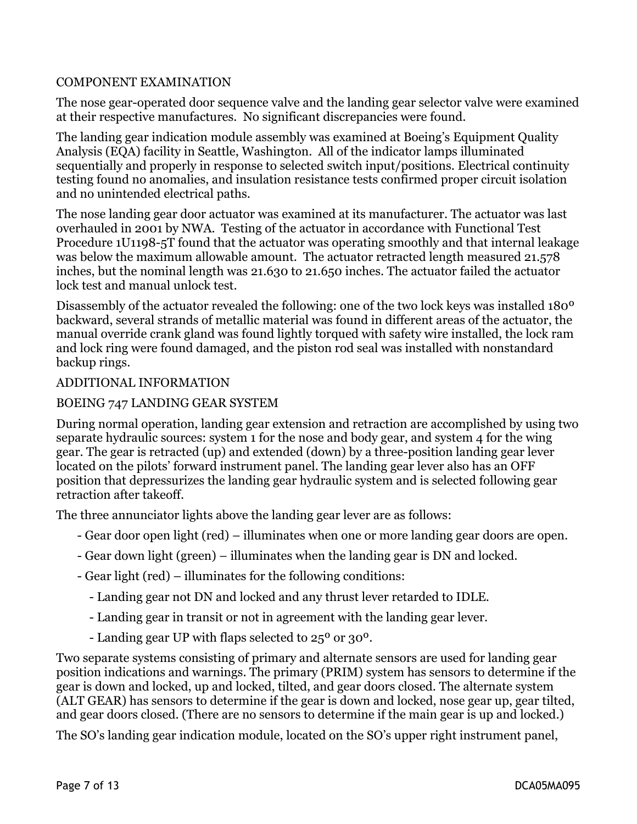### COMPONENT EXAMINATION

The nose gear-operated door sequence valve and the landing gear selector valve were examined at their respective manufactures. No significant discrepancies were found.

The landing gear indication module assembly was examined at Boeing's Equipment Quality Analysis (EQA) facility in Seattle, Washington. All of the indicator lamps illuminated sequentially and properly in response to selected switch input/positions. Electrical continuity testing found no anomalies, and insulation resistance tests confirmed proper circuit isolation and no unintended electrical paths.

The nose landing gear door actuator was examined at its manufacturer. The actuator was last overhauled in 2001 by NWA. Testing of the actuator in accordance with Functional Test Procedure 1U1198-5T found that the actuator was operating smoothly and that internal leakage was below the maximum allowable amount. The actuator retracted length measured 21.578 inches, but the nominal length was 21.630 to 21.650 inches. The actuator failed the actuator lock test and manual unlock test.

Disassembly of the actuator revealed the following: one of the two lock keys was installed 180º backward, several strands of metallic material was found in different areas of the actuator, the manual override crank gland was found lightly torqued with safety wire installed, the lock ram and lock ring were found damaged, and the piston rod seal was installed with nonstandard backup rings.

#### ADDITIONAL INFORMATION

### BOEING 747 LANDING GEAR SYSTEM

During normal operation, landing gear extension and retraction are accomplished by using two separate hydraulic sources: system 1 for the nose and body gear, and system 4 for the wing gear. The gear is retracted (up) and extended (down) by a three-position landing gear lever located on the pilots' forward instrument panel. The landing gear lever also has an OFF position that depressurizes the landing gear hydraulic system and is selected following gear retraction after takeoff.

The three annunciator lights above the landing gear lever are as follows:

- Gear door open light (red) illuminates when one or more landing gear doors are open.
- Gear down light (green) illuminates when the landing gear is DN and locked.
- Gear light (red) illuminates for the following conditions:
	- Landing gear not DN and locked and any thrust lever retarded to IDLE.
	- Landing gear in transit or not in agreement with the landing gear lever.
	- Landing gear UP with flaps selected to 25º or 30º.

Two separate systems consisting of primary and alternate sensors are used for landing gear position indications and warnings. The primary (PRIM) system has sensors to determine if the gear is down and locked, up and locked, tilted, and gear doors closed. The alternate system (ALT GEAR) has sensors to determine if the gear is down and locked, nose gear up, gear tilted, and gear doors closed. (There are no sensors to determine if the main gear is up and locked.)

The SO's landing gear indication module, located on the SO's upper right instrument panel,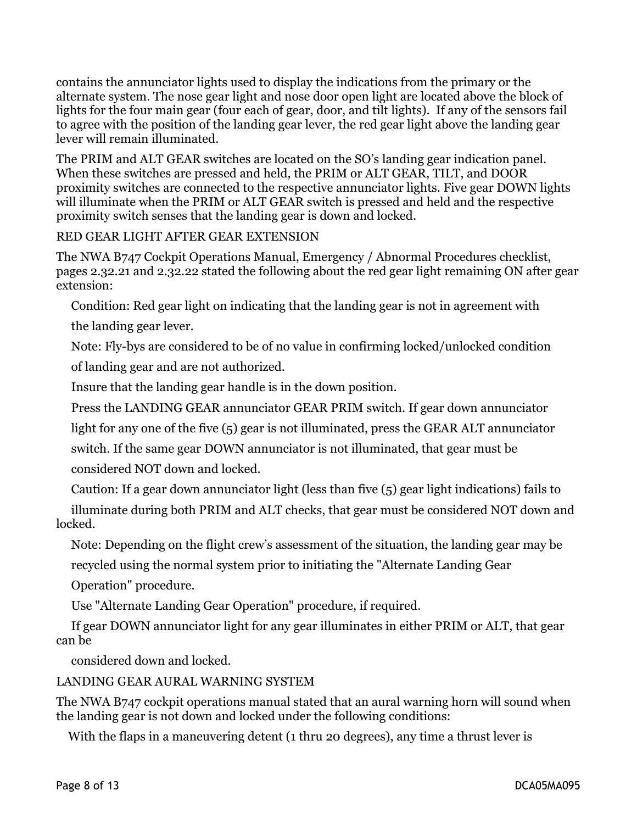contains the annunciator lights used to display the indications from the primary or the alternate system. The nose gear light and nose door open light are located above the block of lights for the four main gear (four each of gear, door, and tilt lights). If any of the sensors fail to agree with the position of the landing gear lever, the red gear light above the landing gear lever will remain illuminated.

The PRIM and ALT GEAR switches are located on the SO's landing gear indication panel. When these switches are pressed and held, the PRIM or ALT GEAR, TILT, and DOOR proximity switches are connected to the respective annunciator lights. Five gear DOWN lights will illuminate when the PRIM or ALT GEAR switch is pressed and held and the respective proximity switch senses that the landing gear is down and locked.

### RED GEAR LIGHT AFTER GEAR EXTENSION

The NWA B747 Cockpit Operations Manual, Emergency / Abnormal Procedures checklist, pages 2.32.21 and 2.32.22 stated the following about the red gear light remaining ON after gear extension:

Condition: Red gear light on indicating that the landing gear is not in agreement with

the landing gear lever.

Note: Fly-bys are considered to be of no value in confirming locked/unlocked condition

of landing gear and are not authorized.

Insure that the landing gear handle is in the down position.

Press the LANDING GEAR annunciator GEAR PRIM switch. If gear down annunciator

light for any one of the five (5) gear is not illuminated, press the GEAR ALT annunciator

switch. If the same gear DOWN annunciator is not illuminated, that gear must be

considered NOT down and locked.

Caution: If a gear down annunciator light (less than five (5) gear light indications) fails to

 illuminate during both PRIM and ALT checks, that gear must be considered NOT down and locked.

Note: Depending on the flight crew's assessment of the situation, the landing gear may be

recycled using the normal system prior to initiating the "Alternate Landing Gear

Operation" procedure.

Use "Alternate Landing Gear Operation" procedure, if required.

 If gear DOWN annunciator light for any gear illuminates in either PRIM or ALT, that gear can be

considered down and locked.

### LANDING GEAR AURAL WARNING SYSTEM

The NWA B747 cockpit operations manual stated that an aural warning horn will sound when the landing gear is not down and locked under the following conditions:

With the flaps in a maneuvering detent (1 thru 20 degrees), any time a thrust lever is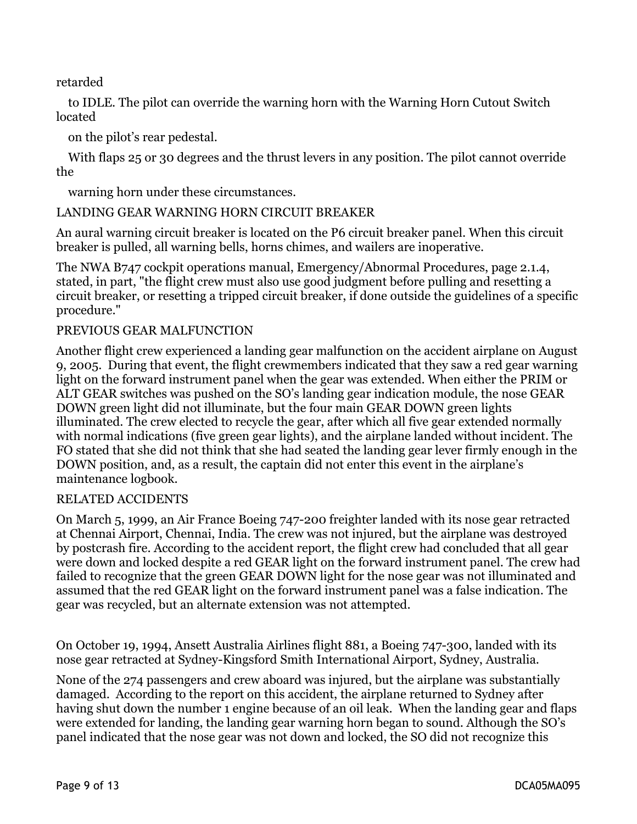retarded

 to IDLE. The pilot can override the warning horn with the Warning Horn Cutout Switch located

on the pilot's rear pedestal.

 With flaps 25 or 30 degrees and the thrust levers in any position. The pilot cannot override the

warning horn under these circumstances.

### LANDING GEAR WARNING HORN CIRCUIT BREAKER

An aural warning circuit breaker is located on the P6 circuit breaker panel. When this circuit breaker is pulled, all warning bells, horns chimes, and wailers are inoperative.

The NWA B747 cockpit operations manual, Emergency/Abnormal Procedures, page 2.1.4, stated, in part, "the flight crew must also use good judgment before pulling and resetting a circuit breaker, or resetting a tripped circuit breaker, if done outside the guidelines of a specific procedure."

### PREVIOUS GEAR MALFUNCTION

Another flight crew experienced a landing gear malfunction on the accident airplane on August 9, 2005. During that event, the flight crewmembers indicated that they saw a red gear warning light on the forward instrument panel when the gear was extended. When either the PRIM or ALT GEAR switches was pushed on the SO's landing gear indication module, the nose GEAR DOWN green light did not illuminate, but the four main GEAR DOWN green lights illuminated. The crew elected to recycle the gear, after which all five gear extended normally with normal indications (five green gear lights), and the airplane landed without incident. The FO stated that she did not think that she had seated the landing gear lever firmly enough in the DOWN position, and, as a result, the captain did not enter this event in the airplane's maintenance logbook.

### RELATED ACCIDENTS

On March 5, 1999, an Air France Boeing 747-200 freighter landed with its nose gear retracted at Chennai Airport, Chennai, India. The crew was not injured, but the airplane was destroyed by postcrash fire. According to the accident report, the flight crew had concluded that all gear were down and locked despite a red GEAR light on the forward instrument panel. The crew had failed to recognize that the green GEAR DOWN light for the nose gear was not illuminated and assumed that the red GEAR light on the forward instrument panel was a false indication. The gear was recycled, but an alternate extension was not attempted.

On October 19, 1994, Ansett Australia Airlines flight 881, a Boeing 747-300, landed with its nose gear retracted at Sydney-Kingsford Smith International Airport, Sydney, Australia.

None of the 274 passengers and crew aboard was injured, but the airplane was substantially damaged. According to the report on this accident, the airplane returned to Sydney after having shut down the number 1 engine because of an oil leak. When the landing gear and flaps were extended for landing, the landing gear warning horn began to sound. Although the SO's panel indicated that the nose gear was not down and locked, the SO did not recognize this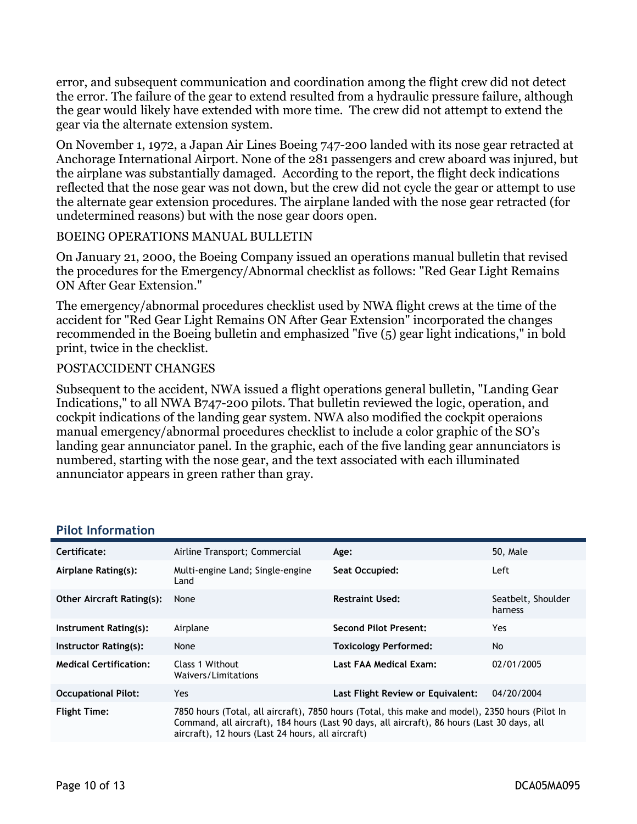error, and subsequent communication and coordination among the flight crew did not detect the error. The failure of the gear to extend resulted from a hydraulic pressure failure, although the gear would likely have extended with more time. The crew did not attempt to extend the gear via the alternate extension system.

On November 1, 1972, a Japan Air Lines Boeing 747-200 landed with its nose gear retracted at Anchorage International Airport. None of the 281 passengers and crew aboard was injured, but the airplane was substantially damaged. According to the report, the flight deck indications reflected that the nose gear was not down, but the crew did not cycle the gear or attempt to use the alternate gear extension procedures. The airplane landed with the nose gear retracted (for undetermined reasons) but with the nose gear doors open.

#### BOEING OPERATIONS MANUAL BULLETIN

On January 21, 2000, the Boeing Company issued an operations manual bulletin that revised the procedures for the Emergency/Abnormal checklist as follows: "Red Gear Light Remains ON After Gear Extension."

The emergency/abnormal procedures checklist used by NWA flight crews at the time of the accident for "Red Gear Light Remains ON After Gear Extension" incorporated the changes recommended in the Boeing bulletin and emphasized "five (5) gear light indications," in bold print, twice in the checklist.

### POSTACCIDENT CHANGES

Subsequent to the accident, NWA issued a flight operations general bulletin, "Landing Gear Indications," to all NWA B747-200 pilots. That bulletin reviewed the logic, operation, and cockpit indications of the landing gear system. NWA also modified the cockpit operaions manual emergency/abnormal procedures checklist to include a color graphic of the SO's landing gear annunciator panel. In the graphic, each of the five landing gear annunciators is numbered, starting with the nose gear, and the text associated with each illuminated annunciator appears in green rather than gray.

| Certificate:                     | Airline Transport; Commercial                                                                                                                                                                                                                       | Age:                              | 50, Male                      |
|----------------------------------|-----------------------------------------------------------------------------------------------------------------------------------------------------------------------------------------------------------------------------------------------------|-----------------------------------|-------------------------------|
| Airplane Rating(s):              | Multi-engine Land; Single-engine<br>Land                                                                                                                                                                                                            | Seat Occupied:                    | Left                          |
| <b>Other Aircraft Rating(s):</b> | None                                                                                                                                                                                                                                                | <b>Restraint Used:</b>            | Seatbelt, Shoulder<br>harness |
| Instrument Rating(s):            | Airplane                                                                                                                                                                                                                                            | <b>Second Pilot Present:</b>      | Yes.                          |
| Instructor Rating(s):            | None                                                                                                                                                                                                                                                | <b>Toxicology Performed:</b>      | No                            |
| <b>Medical Certification:</b>    | Class 1 Without<br>Waivers/Limitations                                                                                                                                                                                                              | Last FAA Medical Exam:            | 02/01/2005                    |
| <b>Occupational Pilot:</b>       | Yes                                                                                                                                                                                                                                                 | Last Flight Review or Equivalent: | 04/20/2004                    |
| <b>Flight Time:</b>              | 7850 hours (Total, all aircraft), 7850 hours (Total, this make and model), 2350 hours (Pilot In<br>Command, all aircraft), 184 hours (Last 90 days, all aircraft), 86 hours (Last 30 days, all<br>aircraft), 12 hours (Last 24 hours, all aircraft) |                                   |                               |

#### **Pilot Information**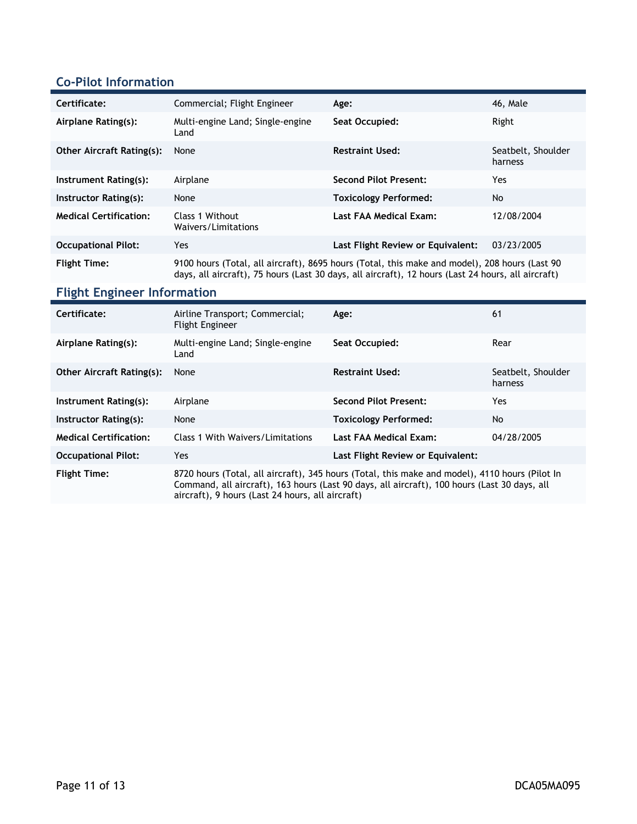### **Co-Pilot Information**

| Certificate:                     | Commercial; Flight Engineer                                                                                                                                                                         | Age:                              | 46, Male                      |
|----------------------------------|-----------------------------------------------------------------------------------------------------------------------------------------------------------------------------------------------------|-----------------------------------|-------------------------------|
| Airplane Rating(s):              | Multi-engine Land; Single-engine<br>Land                                                                                                                                                            | Seat Occupied:                    | Right                         |
| <b>Other Aircraft Rating(s):</b> | None                                                                                                                                                                                                | <b>Restraint Used:</b>            | Seatbelt, Shoulder<br>harness |
| Instrument Rating(s):            | Airplane                                                                                                                                                                                            | <b>Second Pilot Present:</b>      | Yes                           |
| Instructor Rating(s):            | None                                                                                                                                                                                                | <b>Toxicology Performed:</b>      | <b>No</b>                     |
| <b>Medical Certification:</b>    | Class 1 Without<br>Waivers/Limitations                                                                                                                                                              | Last FAA Medical Exam:            | 12/08/2004                    |
| <b>Occupational Pilot:</b>       | Yes                                                                                                                                                                                                 | Last Flight Review or Equivalent: | 03/23/2005                    |
| <b>Flight Time:</b>              | 9100 hours (Total, all aircraft), 8695 hours (Total, this make and model), 208 hours (Last 90<br>days, all aircraft), 75 hours (Last 30 days, all aircraft), 12 hours (Last 24 hours, all aircraft) |                                   |                               |

### **Flight Engineer Information**

| Certificate:                     | Airline Transport; Commercial;<br><b>Flight Engineer</b>                                                                                                                                                                                           | Age:                              | 61                            |
|----------------------------------|----------------------------------------------------------------------------------------------------------------------------------------------------------------------------------------------------------------------------------------------------|-----------------------------------|-------------------------------|
| Airplane Rating(s):              | Multi-engine Land; Single-engine<br>Land                                                                                                                                                                                                           | Seat Occupied:                    | Rear                          |
| <b>Other Aircraft Rating(s):</b> | None                                                                                                                                                                                                                                               | <b>Restraint Used:</b>            | Seatbelt, Shoulder<br>harness |
| Instrument Rating(s):            | Airplane                                                                                                                                                                                                                                           | Second Pilot Present:             | Yes.                          |
| Instructor Rating(s):            | None                                                                                                                                                                                                                                               | <b>Toxicology Performed:</b>      | <b>No</b>                     |
| <b>Medical Certification:</b>    | Class 1 With Waivers/Limitations                                                                                                                                                                                                                   | Last FAA Medical Exam:            | 04/28/2005                    |
| <b>Occupational Pilot:</b>       | Yes.                                                                                                                                                                                                                                               | Last Flight Review or Equivalent: |                               |
| <b>Flight Time:</b>              | 8720 hours (Total, all aircraft), 345 hours (Total, this make and model), 4110 hours (Pilot In<br>Command, all aircraft), 163 hours (Last 90 days, all aircraft), 100 hours (Last 30 days, all<br>aircraft), 9 hours (Last 24 hours, all aircraft) |                                   |                               |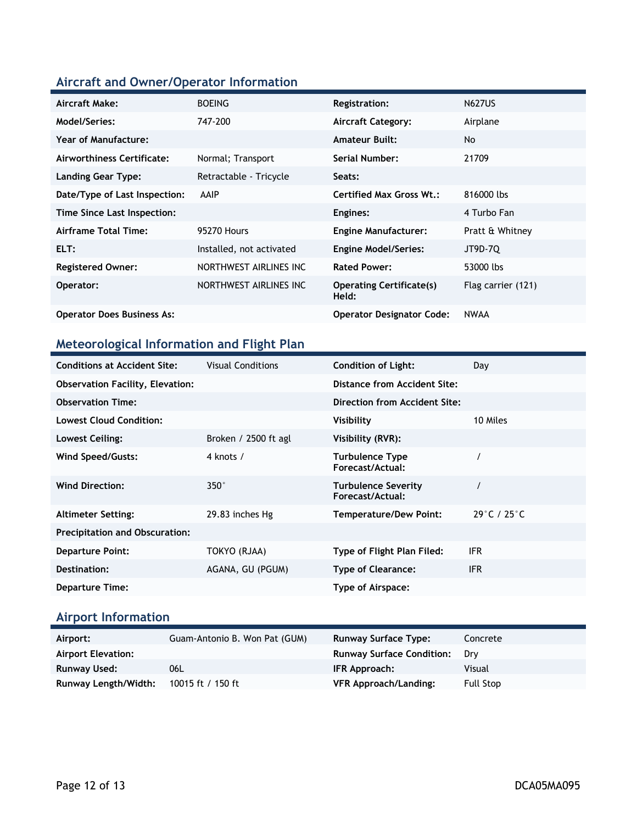### **Aircraft and Owner/Operator Information**

| <b>Aircraft Make:</b>             | <b>BOEING</b>            | Registration:                            | <b>N627US</b>      |
|-----------------------------------|--------------------------|------------------------------------------|--------------------|
| Model/Series:                     | 747-200                  | <b>Aircraft Category:</b>                | Airplane           |
| <b>Year of Manufacture:</b>       |                          | <b>Amateur Built:</b>                    | No                 |
| Airworthiness Certificate:        | Normal; Transport        | Serial Number:                           | 21709              |
| <b>Landing Gear Type:</b>         | Retractable - Tricycle   | Seats:                                   |                    |
| Date/Type of Last Inspection:     | <b>AAIP</b>              | Certified Max Gross Wt.:                 | 816000 lbs         |
| Time Since Last Inspection:       |                          | Engines:                                 | 4 Turbo Fan        |
| Airframe Total Time:              | 95270 Hours              | <b>Engine Manufacturer:</b>              | Pratt & Whitney    |
| ELT:                              | Installed, not activated | <b>Engine Model/Series:</b>              | JT9D-70            |
| <b>Registered Owner:</b>          | NORTHWEST AIRLINES INC   | <b>Rated Power:</b>                      | 53000 lbs          |
| Operator:                         | NORTHWEST AIRLINES INC   | <b>Operating Certificate(s)</b><br>Held: | Flag carrier (121) |
| <b>Operator Does Business As:</b> |                          | <b>Operator Designator Code:</b>         | <b>NWAA</b>        |

## **Meteorological Information and Flight Plan**

| <b>Conditions at Accident Site:</b>     | <b>Visual Conditions</b> | <b>Condition of Light:</b>                     | Day                              |
|-----------------------------------------|--------------------------|------------------------------------------------|----------------------------------|
| <b>Observation Facility, Elevation:</b> |                          | Distance from Accident Site:                   |                                  |
| <b>Observation Time:</b>                |                          | Direction from Accident Site:                  |                                  |
| <b>Lowest Cloud Condition:</b>          |                          | Visibility                                     | 10 Miles                         |
| Lowest Ceiling:                         | Broken / $2500$ ft agl   | Visibility (RVR):                              |                                  |
| Wind Speed/Gusts:                       | 4 knots /                | <b>Turbulence Type</b><br>Forecast/Actual:     |                                  |
| <b>Wind Direction:</b>                  | $350^\circ$              | <b>Turbulence Severity</b><br>Forecast/Actual: |                                  |
| <b>Altimeter Setting:</b>               | 29.83 inches Hg          | <b>Temperature/Dew Point:</b>                  | $29^{\circ}$ C / 25 $^{\circ}$ C |
| <b>Precipitation and Obscuration:</b>   |                          |                                                |                                  |
| <b>Departure Point:</b>                 | TOKYO (RJAA)             | Type of Flight Plan Filed:                     | <b>IFR</b>                       |
| Destination:                            | AGANA, GU (PGUM)         | <b>Type of Clearance:</b>                      | <b>IFR</b>                       |
| <b>Departure Time:</b>                  |                          | Type of Airspace:                              |                                  |

### **Airport Information**

| Airport:                    | Guam-Antonio B. Won Pat (GUM) | <b>Runway Surface Type:</b>      | Concrete         |
|-----------------------------|-------------------------------|----------------------------------|------------------|
| <b>Airport Elevation:</b>   |                               | <b>Runway Surface Condition:</b> | Drv              |
| <b>Runway Used:</b>         | 06L                           | IFR Approach:                    | Visual           |
| <b>Runway Length/Width:</b> | 10015 ft / 150 ft             | VFR Approach/Landing:            | <b>Full Stop</b> |